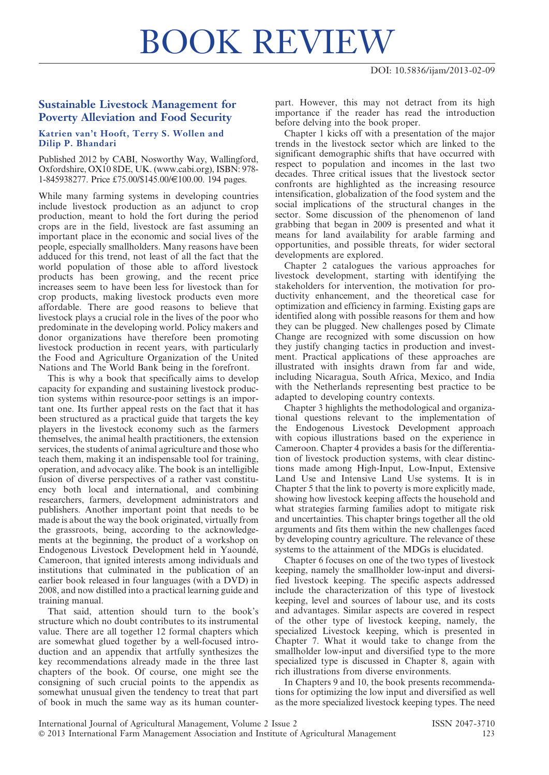## BOOK REVIEW

## Sustainable Livestock Management for Poverty Alleviation and Food Security

## Katrien van't Hooft, Terry S. Wollen and Dilip P. Bhandari

Published 2012 by CABI, Nosworthy Way, Wallingford, Oxfordshire, OX10 8DE, UK. (www.cabi.org), ISBN: 978- 1-845938277. Price £75.00/\$145.00/€100.00. 194 pages.

While many farming systems in developing countries include livestock production as an adjunct to crop production, meant to hold the fort during the period crops are in the field, livestock are fast assuming an important place in the economic and social lives of the people, especially smallholders. Many reasons have been adduced for this trend, not least of all the fact that the world population of those able to afford livestock products has been growing, and the recent price increases seem to have been less for livestock than for crop products, making livestock products even more affordable. There are good reasons to believe that livestock plays a crucial role in the lives of the poor who predominate in the developing world. Policy makers and donor organizations have therefore been promoting livestock production in recent years, with particularly the Food and Agriculture Organization of the United Nations and The World Bank being in the forefront.

This is why a book that specifically aims to develop capacity for expanding and sustaining livestock production systems within resource-poor settings is an important one. Its further appeal rests on the fact that it has been structured as a practical guide that targets the key players in the livestock economy such as the farmers themselves, the animal health practitioners, the extension services, the students of animal agriculture and those who teach them, making it an indispensable tool for training, operation, and advocacy alike. The book is an intelligible fusion of diverse perspectives of a rather vast constituency both local and international, and combining researchers, farmers, development administrators and publishers. Another important point that needs to be made is about the way the book originated, virtually from the grassroots, being, according to the acknowledgements at the beginning, the product of a workshop on Endogenous Livestock Development held in Yaoundé, Cameroon, that ignited interests among individuals and institutions that culminated in the publication of an earlier book released in four languages (with a DVD) in 2008, and now distilled into a practical learning guide and training manual.

That said, attention should turn to the book's structure which no doubt contributes to its instrumental value. There are all together 12 formal chapters which are somewhat glued together by a well-focused introduction and an appendix that artfully synthesizes the key recommendations already made in the three last chapters of the book. Of course, one might see the consigning of such crucial points to the appendix as somewhat unusual given the tendency to treat that part of book in much the same way as its human counterpart. However, this may not detract from its high importance if the reader has read the introduction before delving into the book proper.

Chapter 1 kicks off with a presentation of the major trends in the livestock sector which are linked to the significant demographic shifts that have occurred with respect to population and incomes in the last two decades. Three critical issues that the livestock sector confronts are highlighted as the increasing resource intensification, globalization of the food system and the social implications of the structural changes in the sector. Some discussion of the phenomenon of land grabbing that began in 2009 is presented and what it means for land availability for arable farming and opportunities, and possible threats, for wider sectoral developments are explored.

Chapter 2 catalogues the various approaches for livestock development, starting with identifying the stakeholders for intervention, the motivation for productivity enhancement, and the theoretical case for optimization and efficiency in farming. Existing gaps are identified along with possible reasons for them and how they can be plugged. New challenges posed by Climate Change are recognized with some discussion on how they justify changing tactics in production and investment. Practical applications of these approaches are illustrated with insights drawn from far and wide, including Nicaragua, South Africa, Mexico, and India with the Netherlands representing best practice to be adapted to developing country contexts.

Chapter 3 highlights the methodological and organizational questions relevant to the implementation of the Endogenous Livestock Development approach with copious illustrations based on the experience in Cameroon. Chapter 4 provides a basis for the differentiation of livestock production systems, with clear distinctions made among High-Input, Low-Input, Extensive Land Use and Intensive Land Use systems. It is in Chapter 5 that the link to poverty is more explicitly made, showing how livestock keeping affects the household and what strategies farming families adopt to mitigate risk and uncertainties. This chapter brings together all the old arguments and fits them within the new challenges faced by developing country agriculture. The relevance of these systems to the attainment of the MDGs is elucidated.

Chapter 6 focuses on one of the two types of livestock keeping, namely the smallholder low-input and diversified livestock keeping. The specific aspects addressed include the characterization of this type of livestock keeping, level and sources of labour use, and its costs and advantages. Similar aspects are covered in respect of the other type of livestock keeping, namely, the specialized Livestock keeping, which is presented in Chapter 7. What it would take to change from the smallholder low-input and diversified type to the more specialized type is discussed in Chapter 8, again with rich illustrations from diverse environments.

In Chapters 9 and 10, the book presents recommendations for optimizing the low input and diversified as well as the more specialized livestock keeping types. The need